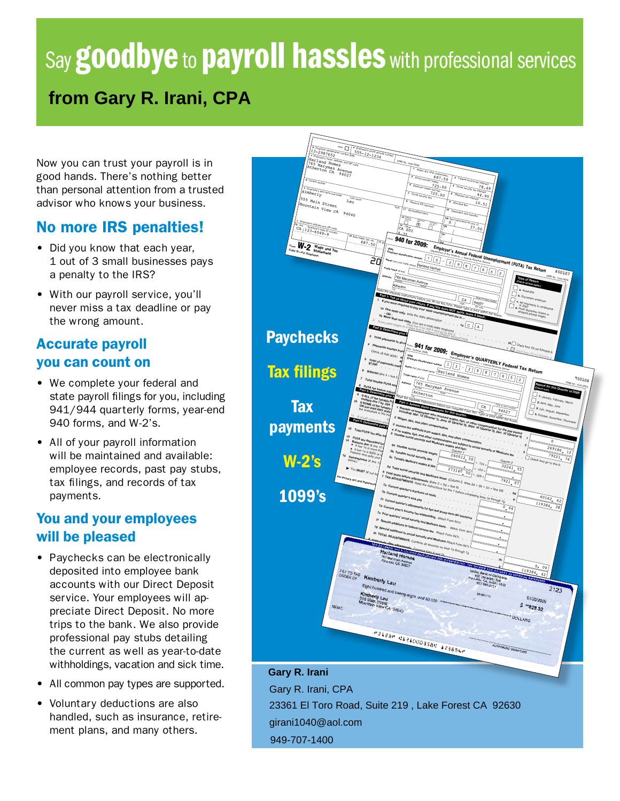# Say **goodbye** to **payroll hassles** with professional services **from Gary R. Irani, CPA**

Now you can trust your payroll is in good hands. There's nothing better than personal attention from a trusted advisor who knows your business.

#### No more IRS penalties!

- Did you know that each year, 1 out of 3 small businesses pays a penalty to the IRS?
- With our payroll service, you'll never miss a tax deadline or pay the wrong amount.

## Accurate payroll you can count on

- We complete your federal and state payroll filings for you, including 941/944 quarterly forms, year-end 940 forms, and W-2's.
- All of your payroll information will be maintained and available: employee records, past pay stubs, tax filings, and records of tax payments.

#### You and your employees will be pleased

- Paychecks can be electronically deposited into employee bank accounts with our Direct Deposit service. Your employees will appreciate Direct Deposit. No more trips to the bank. We also provide professional pay stubs detailing the current as well as year-to-date withholdings, vacation and sick time.
- All common pay types are supported.
- Voluntary deductions are also handled, such as insurance, retirement plans, and many others.



**Gary R. Irani** Gary R. Irani, CPA 23361 El Toro Road, Suite 219 , Lake Forest CA 92630 949-707-1400 girani1040@aol.com